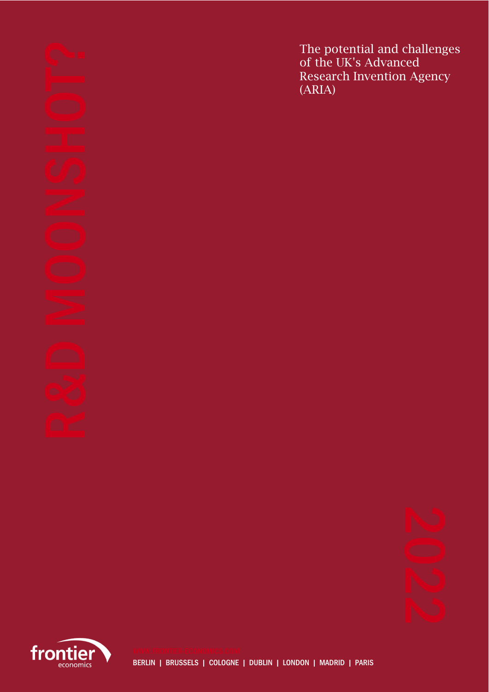The potential and challenges of the UK's Advanced Research Invention Agency (ARIA)



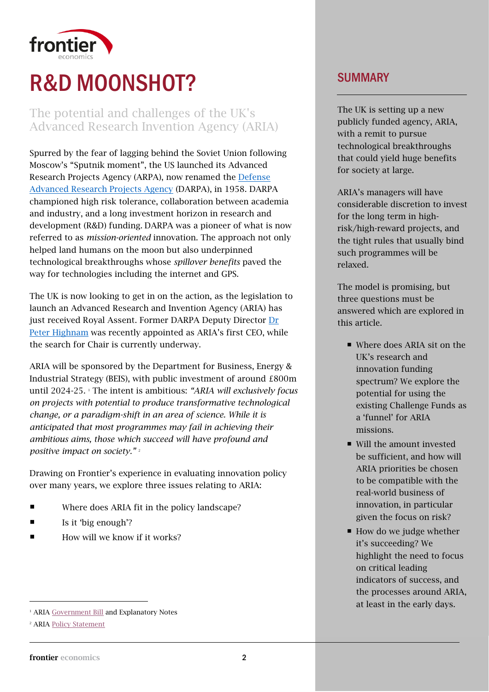

# R&D MOONSHOT?

## The potential and challenges of the UK's Advanced Research Invention Agency (ARIA)

Spurred by the fear of lagging behind the Soviet Union following Moscow's "Sputnik moment", the US launched its Advanced Research Projects Agency (ARPA), now renamed the [Defense](https://www.darpa.mil/)  [Advanced Research Projects Agency](https://www.darpa.mil/) (DARPA), in 1958. DARPA championed high risk tolerance, collaboration between academia and industry, and a long investment horizon in research and development (R&D) funding. DARPA was a pioneer of what is now referred to as *mission-oriented* innovation. The approach not only helped land humans on the moon but also underpinned technological breakthroughs whose *spillover benefits* paved the way for technologies including the internet and GPS.

The UK is now looking to get in on the action, as the legislation to launch an Advanced Research and Invention Agency (ARIA) has just received Royal Assent. Former DARPA Deputy Director [Dr](https://www.gov.uk/government/news/us-research-director-appointed-first-chief-executive-of-advanced-research-and-invention-agency)  [Peter Highnam](https://www.gov.uk/government/news/us-research-director-appointed-first-chief-executive-of-advanced-research-and-invention-agency) was recently appointed as ARIA's first CEO, while the search for Chair is currently underway.

ARIA will be sponsored by the Department for Business, Energy & Industrial Strategy (BEIS), with public investment of around £800m until 2024-25. <sup>1</sup> The intent is ambitious: *"ARIA will exclusively focus on projects with potential to produce transformative technological change, or a paradigm-shift in an area of science. While it is anticipated that most programmes may fail in achieving their ambitious aims, those which succeed will have profound and positive impact on society."*<sup>2</sup>

Drawing on Frontier's experience in evaluating innovation policy over many years, we explore three issues relating to ARIA:

- Where does ARIA fit in the policy landscape?
- $\blacksquare$  Is it 'big enough'?
- How will we know if it works?

## SUMMARY

The UK is setting up a new publicly funded agency, ARIA, with a remit to pursue technological breakthroughs that could yield huge benefits for society at large.

ARIA's managers will have considerable discretion to invest for the long term in highrisk/high-reward projects, and the tight rules that usually bind such programmes will be relaxed.

The model is promising, but three questions must be answered which are explored in this article.

- Where does ARIA sit on the UK's research and innovation funding spectrum? We explore the potential for using the existing Challenge Funds as a 'funnel' for ARIA missions.
- Will the amount invested be sufficient, and how will ARIA priorities be chosen to be compatible with the real-world business of innovation, in particular given the focus on risk?
- $\blacksquare$  How do we judge whether highlight the need to focus indicators of success, and at least in the early days. it's succeeding? We on critical leading the processes around ARIA,

<sup>&</sup>lt;sup>1</sup> ARIA [Government Bill](https://bills.parliament.uk/bills/2836/publications) and Explanatory Notes

<sup>&</sup>lt;sup>2</sup> ARIA [Policy Statement](https://www.gov.uk/government/publications/advanced-research-and-invention-agency-aria-statement-of-policy-intent/advanced-research-and-invention-agency-aria-policy-statement)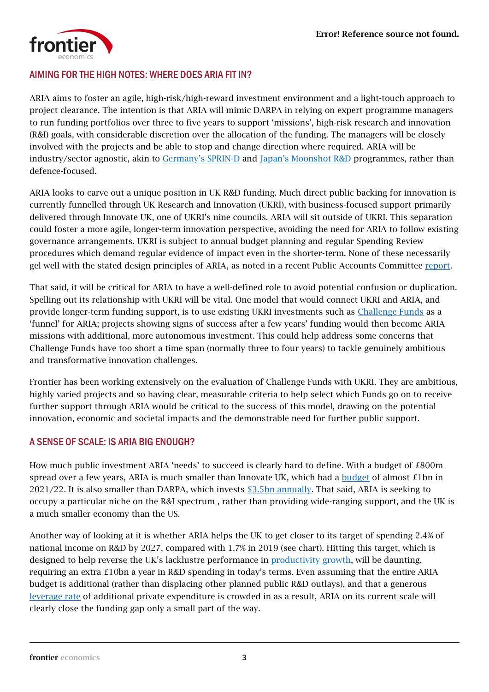

#### AIMING FOR THE HIGH NOTES: WHERE DOES ARIA FIT IN?

ARIA aims to foster an agile, high-risk/high-reward investment environment and a light-touch approach to project clearance. The intention is that ARIA will mimic DARPA in relying on expert programme managers to run funding portfolios over three to five years to support 'missions', high-risk research and innovation (R&I) goals, with considerable discretion over the allocation of the funding. The managers will be closely involved with the projects and be able to stop and change direction where required. ARIA will be industry/sector agnostic, akin to [Germany's SPRIN](https://www.sprind.org/en/)-D and [Japan's Moonshot R&D](https://www.jst.go.jp/moonshot/en/about.html) programmes, rather than defence-focused.

ARIA looks to carve out a unique position in UK R&D funding. Much direct public backing for innovation is currently funnelled through UK Research and Innovation (UKRI), with business-focused support primarily delivered through Innovate UK, one of UKRI's nine councils. ARIA will sit outside of UKRI. This separation could foster a more agile, longer-term innovation perspective, avoiding the need for ARIA to follow existing governance arrangements. UKRI is subject to annual budget planning and regular Spending Review procedures which demand regular evidence of impact even in the shorter-term. None of these necessarily gel well with the stated design principles of ARIA, as noted in a recent Public Accounts Committee [report.](https://committees.parliament.uk/publications/5687/documents/65817/default/)

That said, it will be critical for ARIA to have a well-defined role to avoid potential confusion or duplication. Spelling out its relationship with UKRI will be vital. One model that would connect UKRI and ARIA, and provide longer-term funding support, is to use existing UKRI investments such as [Challenge Funds](https://www.ukri.org/our-work/our-main-funds/industrial-strategy-challenge-fund/) as a 'funnel' for ARIA; projects showing signs of success after a few years' funding would then become ARIA missions with additional, more autonomous investment. This could help address some concerns that Challenge Funds have too short a time span (normally three to four years) to tackle genuinely ambitious and transformative innovation challenges.

Frontier has been working extensively on the evaluation of Challenge Funds with UKRI. They are ambitious, highly varied projects and so having clear, measurable criteria to help select which Funds go on to receive further support through ARIA would be critical to the success of this model, drawing on the potential innovation, economic and societal impacts and the demonstrable need for further public support.

### A SENSE OF SCALE: IS ARIA BIG ENOUGH?

How much public investment ARIA 'needs' to succeed is clearly hard to define. With a budget of £800m spread over a few years, ARIA is much smaller than Innovate UK, which had a [budget](https://www.gov.uk/government/publications/beis-research-and-development-rd-budget-allocations-2021-to-2022/beis-research-and-development-rd-budget-allocations-2021-to-2022) of almost £1bn in 2021/22. It is also smaller than DARPA, which invests [\\$3.5bn annually.](https://www.darpa.mil/about-us/budget) That said, ARIA is seeking to occupy a particular niche on the R&I spectrum , rather than providing wide-ranging support, and the UK is a much smaller economy than the US.

Another way of looking at it is whether ARIA helps the UK to get closer to its target of spending 2.4% of national income on R&D by 2027, compared with 1.7% in 2019 (see chart). Hitting this target, which is designed to help reverse the UK's lacklustre performance in [productivity growth,](https://www.ons.gov.uk/employmentandlabourmarket/peopleinwork/labourproductivity/articles/whatistheproductivitypuzzle/2015-07-07) will be daunting, requiring an extra £10bn a year in R&D spending in today's terms. Even assuming that the entire ARIA budget is additional (rather than displacing other planned public R&D outlays), and that a generous [leverage rate](https://www.gov.uk/government/publications/research-and-development-relationship-between-public-and-private-funding) of additional private expenditure is crowded in as a result, ARIA on its current scale will clearly close the funding gap only a small part of the way.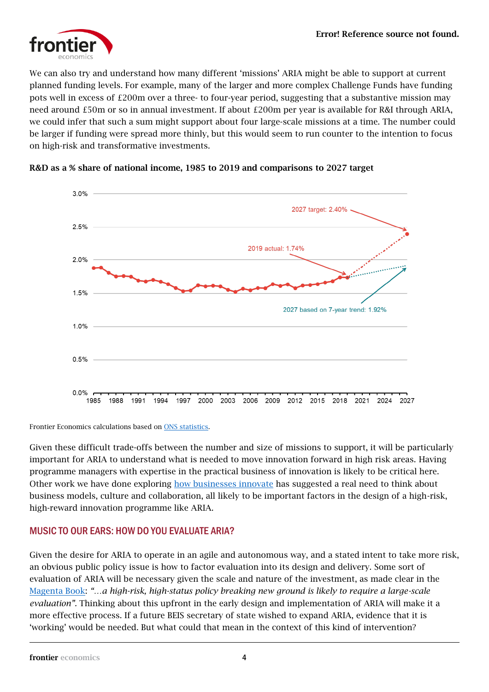

We can also try and understand how many different 'missions' ARIA might be able to support at current planned funding levels. For example, many of the larger and more complex Challenge Funds have funding pots well in excess of £200m over a three- to four-year period, suggesting that a substantive mission may need around £50m or so in annual investment. If about £200m per year is available for R&I through ARIA, we could infer that such a sum might support about four large-scale missions at a time. The number could be larger if funding were spread more thinly, but this would seem to run counter to the intention to focus on high-risk and transformative investments.



#### R&D as a % share of national income, 1985 to 2019 and comparisons to 2027 target

Frontier Economics calculations based o[n ONS statistics.](https://www.ons.gov.uk/economy/governmentpublicsectorandtaxes/researchanddevelopmentexpenditure/bulletins/ukgrossdomesticexpenditureonresearchanddevelopment/2019)

Given these difficult trade-offs between the number and size of missions to support, it will be particularly important for ARIA to understand what is needed to move innovation forward in high risk areas. Having programme managers with expertise in the practical business of innovation is likely to be critical here. Other work we have done exploring [how businesses innovate](https://www.frontier-economics.com/uk/en/news-and-articles/articles/article-i8241-how-to-be-better-at-innovation-the-5-questions-we-ask-our-clients/) has suggested a real need to think about business models, culture and collaboration, all likely to be important factors in the design of a high-risk, high-reward innovation programme like ARIA.

### MUSIC TO OUR EARS: HOW DO YOU EVALUATE ARIA?

Given the desire for ARIA to operate in an agile and autonomous way, and a stated intent to take more risk, an obvious public policy issue is how to factor evaluation into its design and delivery. Some sort of evaluation of ARIA will be necessary given the scale and nature of the investment, as made clear in the [Magenta Book:](https://assets.publishing.service.gov.uk/government/uploads/system/uploads/attachment_data/file/879438/HMT_Magenta_Book.pdf) *"…a high-risk, high-status policy breaking new ground is likely to require a large-scale evaluation".* Thinking about this upfront in the early design and implementation of ARIA will make it a more effective process. If a future BEIS secretary of state wished to expand ARIA, evidence that it is 'working' would be needed. But what could that mean in the context of this kind of intervention?